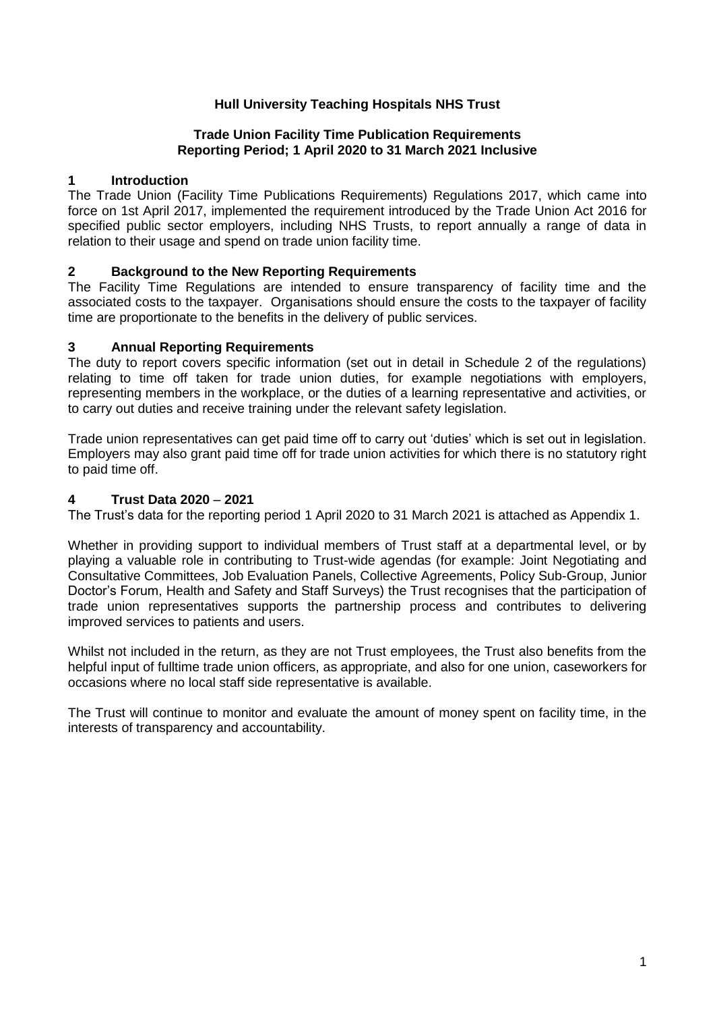## **Hull University Teaching Hospitals NHS Trust**

### **Trade Union Facility Time Publication Requirements Reporting Period; 1 April 2020 to 31 March 2021 Inclusive**

### **1 Introduction**

The Trade Union (Facility Time Publications Requirements) Regulations 2017, which came into force on 1st April 2017, implemented the requirement introduced by the Trade Union Act 2016 for specified public sector employers, including NHS Trusts, to report annually a range of data in relation to their usage and spend on trade union facility time.

## **2 Background to the New Reporting Requirements**

The Facility Time Regulations are intended to ensure transparency of facility time and the associated costs to the taxpayer. Organisations should ensure the costs to the taxpayer of facility time are proportionate to the benefits in the delivery of public services.

## **3 Annual Reporting Requirements**

The duty to report covers specific information (set out in detail in Schedule 2 of the regulations) relating to time off taken for trade union duties, for example negotiations with employers, representing members in the workplace, or the duties of a learning representative and activities, or to carry out duties and receive training under the relevant safety legislation.

Trade union representatives can get paid time off to carry out 'duties' which is set out in legislation. Employers may also grant paid time off for trade union activities for which there is no statutory right to paid time off.

### **4 Trust Data 2020** – **2021**

The Trust's data for the reporting period 1 April 2020 to 31 March 2021 is attached as Appendix 1.

Whether in providing support to individual members of Trust staff at a departmental level, or by playing a valuable role in contributing to Trust-wide agendas (for example: Joint Negotiating and Consultative Committees, Job Evaluation Panels, Collective Agreements, Policy Sub-Group, Junior Doctor's Forum, Health and Safety and Staff Surveys) the Trust recognises that the participation of trade union representatives supports the partnership process and contributes to delivering improved services to patients and users.

Whilst not included in the return, as they are not Trust employees, the Trust also benefits from the helpful input of fulltime trade union officers, as appropriate, and also for one union, caseworkers for occasions where no local staff side representative is available.

The Trust will continue to monitor and evaluate the amount of money spent on facility time, in the interests of transparency and accountability.